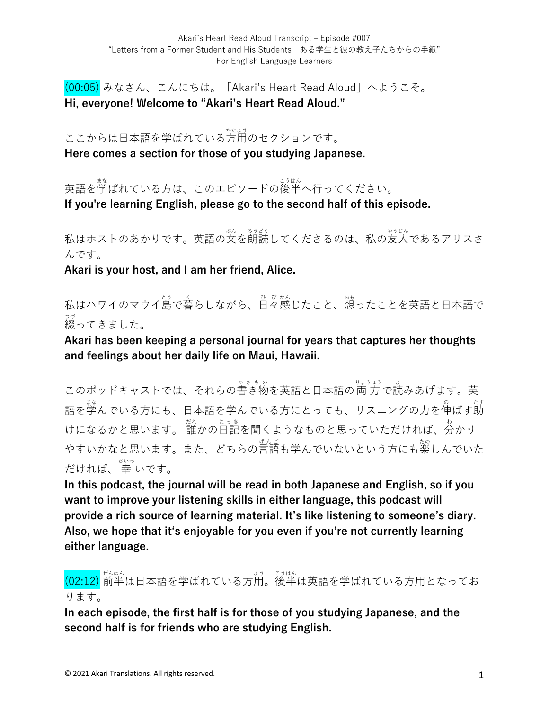(00:05) みなさん、こんにちは。「Akari's Heart Read Aloud」へようこそ。 **Hi, everyone! Welcome to "Akari's Heart Read Aloud."**

ここからは日本語を学ばれている方用のセクションです。 **Here comes a section for those of you studying Japanese.**

英語を学ばれている方は、このエピソードの後半へ行ってください。 **If you're learning English, please go to the second half of this episode.**

私はホストのあかりです。英語の文を朗読してくださるのは、私の友人であるアリスさ んです。

**Akari is your host, and I am her friend, Alice.**

私はハワイのマウイ島で暮らしながら、日々感じたこと、想ったことを英語と日本語で 綴 つづ ってきました。

**Akari has been keeping a personal journal for years that captures her thoughts and feelings about her daily life on Maui, Hawaii.** 

このポッドキャストでは、それらの書き物を英語と日本語の両方で読みあげます。英 語を学んでいる方にも、日本語を学んでいる方にとっても、リスニングの力を伸ばす莇 けになるかと思います。 誰かの日記を聞くようなものと思っていただければ、分かり やすいかなと思います。また、どちらの言語も学んでいないという方にも楽しんでいた だければ、 幸 さいわ いです。

**In this podcast, the journal will be read in both Japanese and English, so if you want to improve your listening skills in either language, this podcast will provide a rich source of learning material. It's like listening to someone's diary. Also, we hope that itʻs enjoyable for you even if you're not currently learning either language.**

(02:12) 前半 ぜんはん は⽇本語を学ばれている⽅⽤ よう 。後半 こうはん は英語を学ばれている⽅⽤となってお ります。

**In each episode, the first half is for those of you studying Japanese, and the second half is for friends who are studying English.**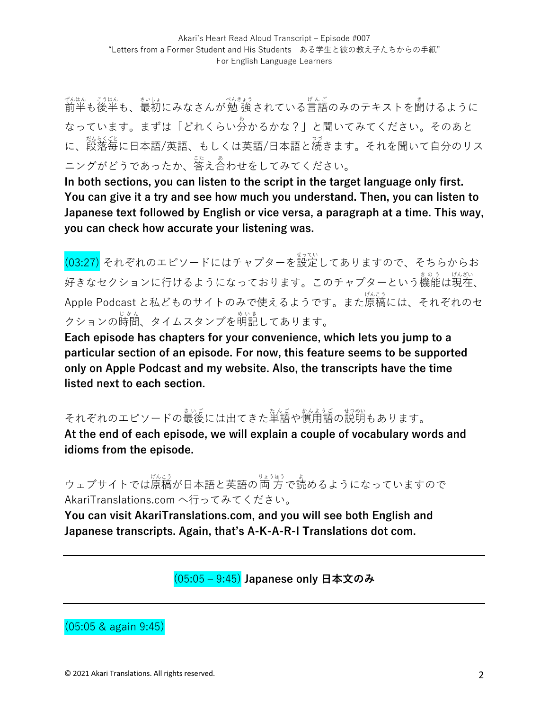ぜんはん。 ジュト<br>前半も後半も、最初にみなさんが勉 強 されている言語のみのテキストを聞けるように なっています。まずは「どれくらい分 わ かるかな?」と聞いてみてください。そのあと に、<sub>怒怒くな</sub><br>に、段落毎に日本語/英語、もしくは英語/日本語と続きます。それを聞いて自分のリス ニングがどうであったか、答え合わせをしてみてください。

**In both sections, you can listen to the script in the target language only first. You can give it a try and see how much you understand. Then, you can listen to Japanese text followed by English or vice versa, a paragraph at a time. This way, you can check how accurate your listening was.**

。<br>(03:27) それぞれのエピソードにはチャプターを設定してありますので、そちらからお 好きなセクションに行けるようになっております。このチャプターという機能は現在、 Apple Podcast と私どものサイトのみで使えるようです。また原稿 げんこう には、それぞれのセ クションの時間、タイムスタンプを明記してあります。

**Each episode has chapters for your convenience, which lets you jump to a particular section of an episode. For now, this feature seems to be supported only on Apple Podcast and my website. Also, the transcripts have the time listed next to each section.**

それぞれのエピソードの最後には出てきた単語や慣甪語の説明もあります。

**At the end of each episode, we will explain a couple of vocabulary words and idioms from the episode.** 

ウェブサイトでは原稿が日本語と英語の両方で読めるようになっていますので AkariTranslations.com へ⾏ってみてください。

**You can visit AkariTranslations.com, and you will see both English and Japanese transcripts. Again, that's A-K-A-R-I Translations dot com.**

(05:05 ‒ 9:45) **Japanese only ⽇本⽂のみ**

(05:05 & again 9:45)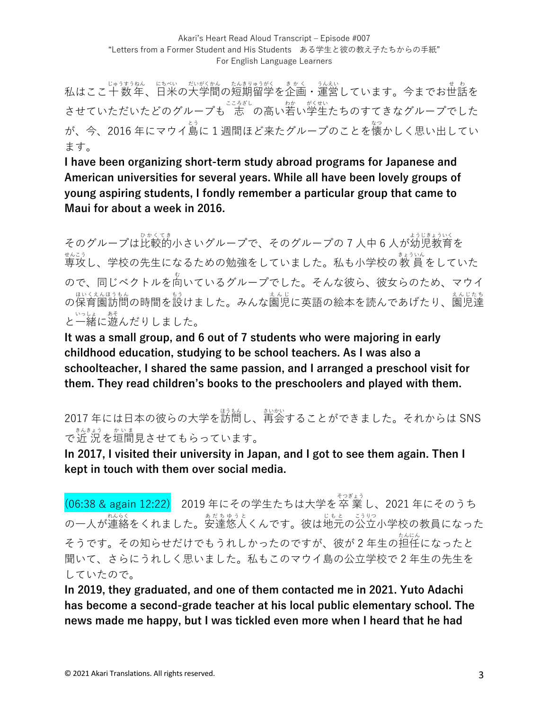私はここ十数年、日米の大学間の短期留学を企画・運営しています。今までお世話を させていただいたどのグループも ま。の高い若い学生たちのすてきなグループでした が、今、2016 年にマウイ島に 1 週間ほど来たグループのことを懐かしく思い出してい ます。

**I have been organizing short-term study abroad programs for Japanese and American universities for several years. While all have been lovely groups of young aspiring students, I fondly remember a particular group that came to Maui for about a week in 2016.** 

そのグループは比較的小さいグループで、そのグループの7人中6人が幼児教育を ま。。<br>専攻し、学校の先生になるための勉強をしていました。私も小学校の教 員をしていた ので、同じベクトルを向いているグループでした。そんな彼ら、彼女らのため、マウイ 。<sub>はいくえんほうもん</sub><br>の保育園訪問の時間を設けました。みんな園児に英語の絵本を読んであげたり、園児達 と一緒に遊んだりしました。

**It was a small group, and 6 out of 7 students who were majoring in early childhood education, studying to be school teachers. As I was also a schoolteacher, I shared the same passion, and I arranged a preschool visit for them. They read children's books to the preschoolers and played with them.** 

2017 年には⽇本の彼らの⼤学を訪問 ほうもん し、再会 さいかい することができました。それからは SNS で近 況を垣間見させてもらっています。

**In 2017, I visited their university in Japan, and I got to see them again. Then I kept in touch with them over social media.** 

(06:38 & again 12:22) 2019年にその学生たちは大学を卒業し、2021年にそのうち の一人が連絡をくれました。安達悠人くんです。彼は地元の公立小学校の教員になった そうです。その知らせだけでもうれしかったのですが、彼が2年生の担任になったと 聞いて、さらにうれしく思いました。私もこのマウイ島の公立学校で2年生の先生を していたので。

**In 2019, they graduated, and one of them contacted me in 2021. Yuto Adachi has become a second-grade teacher at his local public elementary school. The news made me happy, but I was tickled even more when I heard that he had**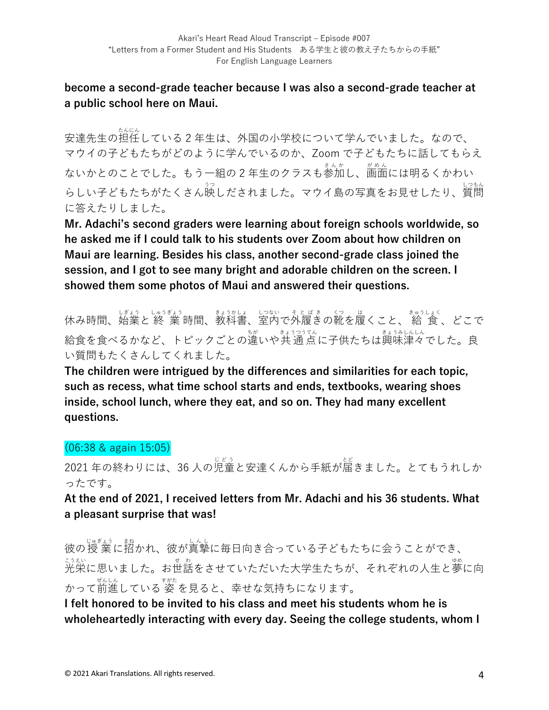### **become a second-grade teacher because I was also a second-grade teacher at a public school here on Maui.**

。<br>安達先生の担任している 2 年生は、外国の小学校について学んでいました。なので、 マウイの⼦どもたちがどのように学んでいるのか、Zoom で⼦どもたちに話してもらえ ないかとのことでした。もう一組の 2 年生のクラスも参加し、画面には明るくかわい らしい子どもたちがたくさん映しだされました。マウイ島の写真をお見せしたり、質問 に答えたりしました。

**Mr. Adachi's second graders were learning about foreign schools worldwide, so he asked me if I could talk to his students over Zoom about how children on Maui are learning. Besides his class, another second-grade class joined the session, and I got to see many bright and adorable children on the screen. I showed them some photos of Maui and answered their questions.** 

休み時間、始業と終 業 時間、教科書、室内で外履きの靴を履くこと、 給 食 、どこで 給食を食べるかなど、トピックごとの違いや共 通点に子供たちは興味津々でした。良 い質問もたくさんしてくれました。

**The children were intrigued by the differences and similarities for each topic, such as recess, what time school starts and ends, textbooks, wearing shoes inside, school lunch, where they eat, and so on. They had many excellent questions.** 

## (06:38 & again 15:05)

2021 年の終わりには、36 ⼈の児童 じどう と安達くんから⼿紙が届 とど きました。とてもうれしか ったです。

**At the end of 2021, I received letters from Mr. Adachi and his 36 students. What a pleasant surprise that was!** 

彼の授 業に招かれ、彼が真摯に毎日向き合っている子どもたちに会うことができ、 ジジ<br>光栄に思いました。お世話をさせていただいた大学生たちが、それぞれの人生と夢に向 かって前進している 姿 を見ると、幸せな気持ちになります。

**I felt honored to be invited to his class and meet his students whom he is wholeheartedly interacting with every day. Seeing the college students, whom I**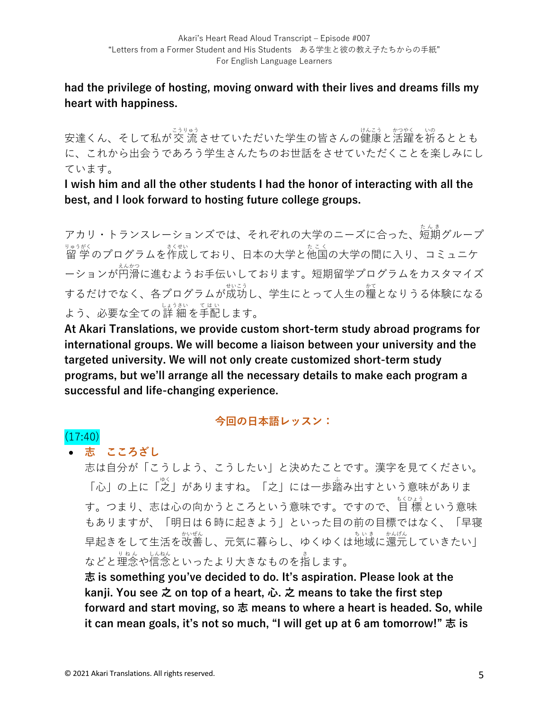**had the privilege of hosting, moving onward with their lives and dreams fills my heart with happiness.**

安達くん、そして私が交 流させていただいた学生の皆さんの健康と活躍を祈るととも に、これから出会うであろう学⽣さんたちのお世話をさせていただくことを楽しみにし ています。

**I wish him and all the other students I had the honor of interacting with all the best, and I look forward to hosting future college groups.** 

アカリ・トランスレーションズでは、それぞれの大学のニーズに合った、短期グループ <sub>りゅうがく</sub><br>留 学 のプログラムを作成しており、日本の大学と他国の大学の間に入り、コミュニケ ーションが円滑に進むようお手伝いしております。短期留学プログラムをカスタマイズ するだけでなく、各プログラムが成功し、学生にとって人生の糧となりうる体験になる よう、必要な全ての詳 細を手配します。

**At Akari Translations, we provide custom short-term study abroad programs for international groups. We will become a liaison between your university and the targeted university. We will not only create customized short-term study programs, but we'll arrange all the necessary details to make each program a successful and life-changing experience.**

#### **今回の⽇本語レッスン:**

# $(17:40)$

• **志 こころざし**

志は⾃分が「こうしよう、こうしたい」と決めたことです。漢字を⾒てください。 「心」の上に「之」がありますね。「之」には一歩踏み出すという意味がありま す。つまり、志は心の向かうところという意味です。ですので、目 標 という意味 もありますが、「明日は6時に起きよう」といった目の前の目標ではなく、「早寝 早起きをして生活を改善し、元気に暮らし、ゆくゆくは地域に還元していきたい」 などと理念や信念といったより大きなものを指します。

**志 is something you've decided to do. It's aspiration. Please look at the kanji. You see 之 on top of a heart, ⼼. 之 means to take the first step forward and start moving, so 志 means to where a heart is headed. So, while it can mean goals, it's not so much, "I will get up at 6 am tomorrow!" 志 is**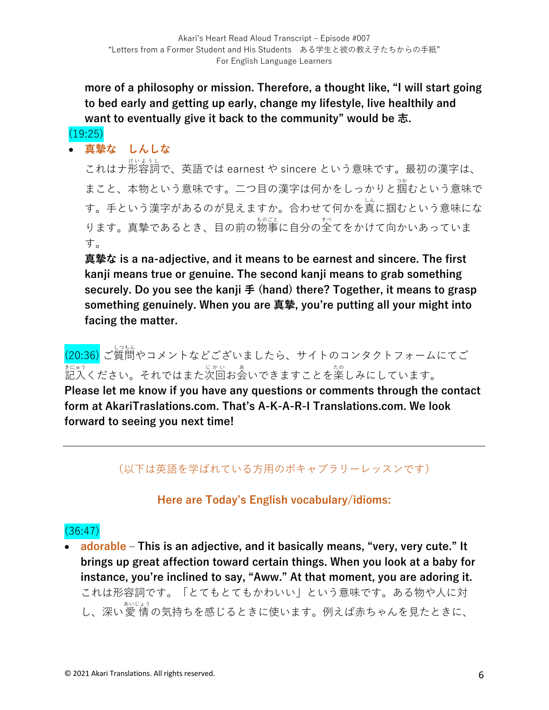**more of a philosophy or mission. Therefore, a thought like, "I will start going to bed early and getting up early, change my lifestyle, live healthily and want to eventually give it back to the community" would be 志.**

#### $(19:25)$

• **真摯な しんしな**

これはナ形容詞 けいようし で、英語では earnest や sincere という意味です。最初の漢字は、 まこと、本物という意味です。二つ目の漢字は何かをしっかりと掴むという意味で す。手という漢字があるのが見えますか。合わせて何かを真に掴むという意味にな ります。真摯であるとき、目の前の物事に自分の全てをかけて向かいあっていま す。

**真摯な is a na-adjective, and it means to be earnest and sincere. The first kanji means true or genuine. The second kanji means to grab something securely. Do you see the kanji ⼿ (hand) there? Together, it means to grasp something genuinely. When you are 真摯, you're putting all your might into facing the matter.**

。<br>(20:36) ご質問やコメントなどございましたら、サイトのコンタクトフォームにてご まヒゅう<br>記入ください。それではまた次回お会いできますことを楽しみにしています。

**Please let me know if you have any questions or comments through the contact form at AkariTraslations.com. That's A-K-A-R-I Translations.com. We look forward to seeing you next time!**

## (以下は英語を学ばれている⽅⽤のボキャブラリーレッスンです)

## **Here are Today's English vocabulary/idioms:**

## (36:47)

• **adorable ‒ This is an adjective, and it basically means, "very, very cute." It brings up great affection toward certain things. When you look at a baby for instance, you're inclined to say, "Aww." At that moment, you are adoring it.**  これは形容詞です。「とてもとてもかわいい」という意味です。ある物や人に対 し、深い愛情の気持ちを感じるときに使います。例えば赤ちゃんを見たときに、